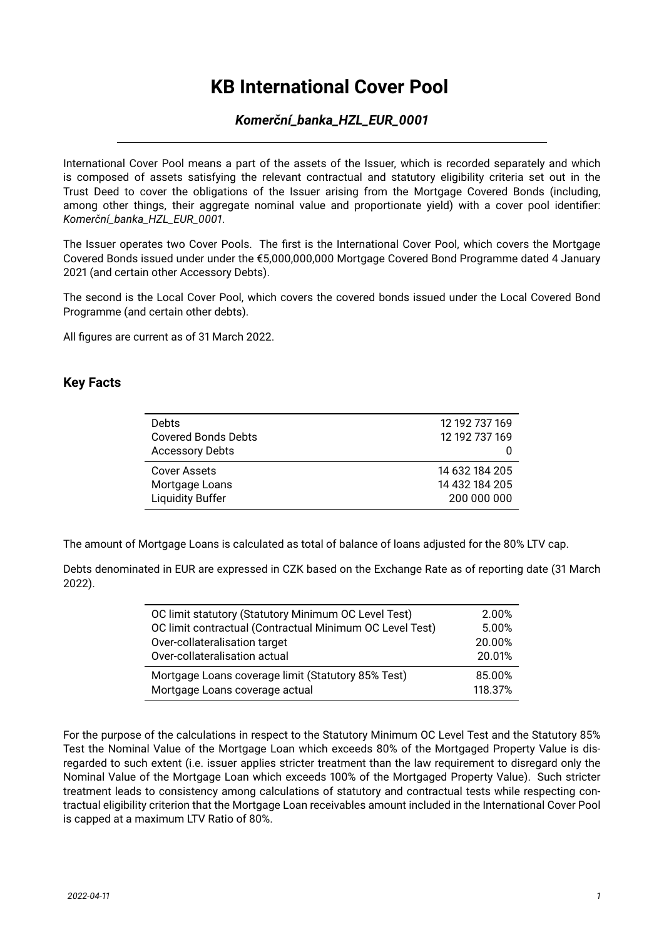# **KB International Cover Pool**

### *Komerční\_banka\_HZL\_EUR\_0001*

International Cover Pool means a part of the assets of the Issuer, which is recorded separately and which is composed of assets satisfying the relevant contractual and statutory eligibility criteria set out in the Trust Deed to cover the obligations of the Issuer arising from the Mortgage Covered Bonds (including, among other things, their aggregate nominal value and proportionate yield) with a cover pool identifier: *Komerční\_banka\_HZL\_EUR\_0001*.

The Issuer operates two Cover Pools. The first is the International Cover Pool, which covers the Mortgage Covered Bonds issued under under the €5,000,000,000 Mortgage Covered Bond Programme dated 4 January 2021 (and certain other Accessory Debts).

The second is the Local Cover Pool, which covers the covered bonds issued under the Local Covered Bond Programme (and certain other debts).

All figures are current as of 31 March 2022.

#### **Key Facts**

| <b>Debts</b><br><b>Covered Bonds Debts</b><br><b>Accessory Debts</b> | 12 192 737 169<br>12 192 737 169 |
|----------------------------------------------------------------------|----------------------------------|
| Cover Assets                                                         | 14 632 184 205                   |
| Mortgage Loans                                                       | 14 432 184 205                   |
| <b>Liquidity Buffer</b>                                              | 200 000 000                      |

The amount of Mortgage Loans is calculated as total of balance of loans adjusted for the 80% LTV cap.

Debts denominated in EUR are expressed in CZK based on the Exchange Rate as of reporting date (31 March 2022).

| OC limit statutory (Statutory Minimum OC Level Test)     | 2.00%   |
|----------------------------------------------------------|---------|
| OC limit contractual (Contractual Minimum OC Level Test) | 5.00%   |
| Over-collateralisation target                            | 20.00%  |
| Over-collateralisation actual                            | 20.01%  |
| Mortgage Loans coverage limit (Statutory 85% Test)       | 85.00%  |
| Mortgage Loans coverage actual                           | 118.37% |

For the purpose of the calculations in respect to the Statutory Minimum OC Level Test and the Statutory 85% Test the Nominal Value of the Mortgage Loan which exceeds 80% of the Mortgaged Property Value is disregarded to such extent (i.e. issuer applies stricter treatment than the law requirement to disregard only the Nominal Value of the Mortgage Loan which exceeds 100% of the Mortgaged Property Value). Such stricter treatment leads to consistency among calculations of statutory and contractual tests while respecting contractual eligibility criterion that the Mortgage Loan receivables amount included in the International Cover Pool is capped at a maximum LTV Ratio of 80%.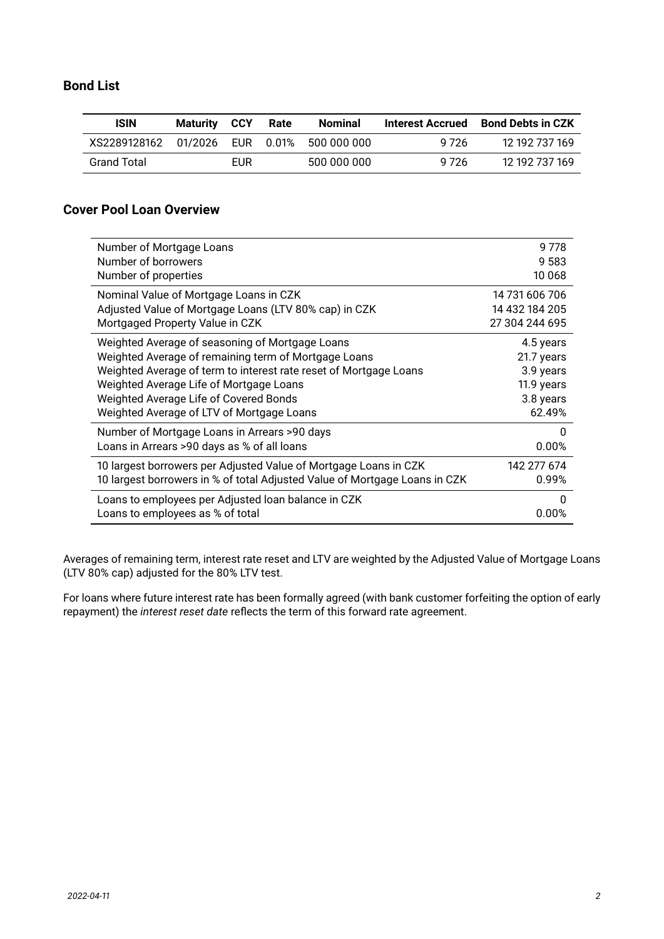### **Bond List**

| <b>ISIN</b>          | <b>Maturity CCY</b> |     | Rate | Nominal                   | Interest Accrued | <b>Bond Debts in CZK</b> |
|----------------------|---------------------|-----|------|---------------------------|------------------|--------------------------|
| XS2289128162 01/2026 |                     |     |      | EUR  0.01%  500  000  000 | 9 7 2 6          | 12 192 737 169           |
| <b>Grand Total</b>   |                     | EUR |      | 500 000 000               | 9 7 2 6          | 12 192 737 169           |

### **Cover Pool Loan Overview**

| Number of Mortgage Loans                                                   | 9778           |
|----------------------------------------------------------------------------|----------------|
| Number of borrowers                                                        | 9 5 8 3        |
| Number of properties                                                       | 10 068         |
| Nominal Value of Mortgage Loans in CZK                                     | 14 731 606 706 |
| Adjusted Value of Mortgage Loans (LTV 80% cap) in CZK                      | 14 432 184 205 |
| Mortgaged Property Value in CZK                                            | 27 304 244 695 |
| Weighted Average of seasoning of Mortgage Loans                            | 4.5 years      |
| Weighted Average of remaining term of Mortgage Loans                       | 21.7 years     |
| Weighted Average of term to interest rate reset of Mortgage Loans          | 3.9 years      |
| Weighted Average Life of Mortgage Loans                                    | 11.9 years     |
| Weighted Average Life of Covered Bonds                                     | 3.8 years      |
| Weighted Average of LTV of Mortgage Loans                                  | 62.49%         |
| Number of Mortgage Loans in Arrears >90 days                               | 0              |
| Loans in Arrears >90 days as % of all loans                                | 0.00%          |
| 10 largest borrowers per Adjusted Value of Mortgage Loans in CZK           | 142 277 674    |
| 10 largest borrowers in % of total Adjusted Value of Mortgage Loans in CZK | 0.99%          |
| Loans to employees per Adjusted loan balance in CZK                        | 0              |
| Loans to employees as % of total                                           | 0.00%          |

Averages of remaining term, interest rate reset and LTV are weighted by the Adjusted Value of Mortgage Loans (LTV 80% cap) adjusted for the 80% LTV test.

For loans where future interest rate has been formally agreed (with bank customer forfeiting the option of early repayment) the *interest reset date* reflects the term of this forward rate agreement.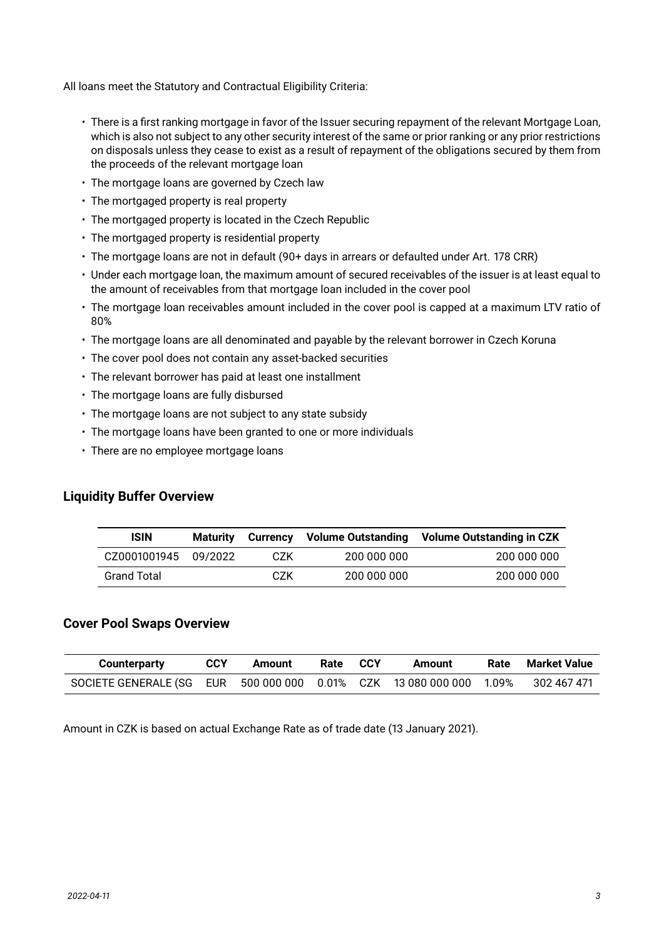All loans meet the Statutory and Contractual Eligibility Criteria:

- There is a first ranking mortgage in favor of the Issuer securing repayment of the relevant Mortgage Loan, which is also not subject to any other security interest of the same or prior ranking or any prior restrictions on disposals unless they cease to exist as a result of repayment of the obligations secured by them from the proceeds of the relevant mortgage loan
- The mortgage loans are governed by Czech law
- The mortgaged property is real property
- The mortgaged property is located in the Czech Republic
- The mortgaged property is residential property
- The mortgage loans are not in default (90+ days in arrears or defaulted under Art. 178 CRR)
- Under each mortgage loan, the maximum amount of secured receivables of the issuer is at least equal to the amount of receivables from that mortgage loan included in the cover pool
- The mortgage loan receivables amount included in the cover pool is capped at a maximum LTV ratio of 80%
- The mortgage loans are all denominated and payable by the relevant borrower in Czech Koruna
- The cover pool does not contain any asset-backed securities
- The relevant borrower has paid at least one installment
- The mortgage loans are fully disbursed
- The mortgage loans are not subject to any state subsidy
- The mortgage loans have been granted to one or more individuals
- There are no employee mortgage loans

#### **Liquidity Buffer Overview**

| <b>ISIN</b>          | Maturitv | Currency | <b>Volume Outstanding</b> | Volume Outstanding in CZK |
|----------------------|----------|----------|---------------------------|---------------------------|
| CZ0001001945 09/2022 |          | CZK.     | 200 000 000               | 200 000 000               |
| <b>Grand Total</b>   |          | CZK      | 200 000 000               | 200 000 000               |

#### **Cover Pool Swaps Overview**

| <b>Counterparty</b>                                                 | <b>CCY</b> | Amount | Rate | <b>CCY</b> | Amount | Rate | Market Value |
|---------------------------------------------------------------------|------------|--------|------|------------|--------|------|--------------|
| SOCIETE GENERALE (SG EUR 500 000 000 0.01% CZK 13 080 000 000 1.09% |            |        |      |            |        |      | 302 467 471  |

Amount in CZK is based on actual Exchange Rate as of trade date (13 January 2021).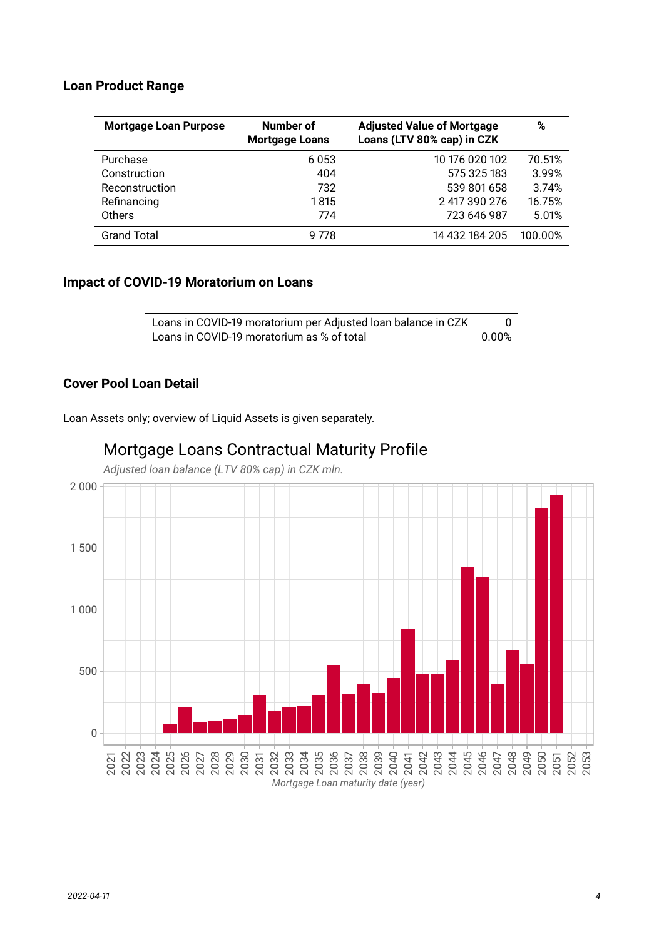#### **Loan Product Range**

| <b>Mortgage Loan Purpose</b> | Number of<br><b>Mortgage Loans</b> | <b>Adjusted Value of Mortgage</b><br>Loans (LTV 80% cap) in CZK | %       |
|------------------------------|------------------------------------|-----------------------------------------------------------------|---------|
| Purchase                     | 6053                               | 10 176 020 102                                                  | 70.51%  |
| Construction                 | 404                                | 575 325 183                                                     | 3.99%   |
| Reconstruction               | 732                                | 539 801 658                                                     | 3.74%   |
| Refinancing                  | 1815                               | 2 417 390 276                                                   | 16.75%  |
| Others                       | 774                                | 723 646 987                                                     | 5.01%   |
| <b>Grand Total</b>           | 9 778                              | 14 432 184 205                                                  | 100.00% |

#### **Impact of COVID-19 Moratorium on Loans**

| Loans in COVID-19 moratorium per Adjusted Ioan balance in CZK |        |
|---------------------------------------------------------------|--------|
| Loans in COVID-19 moratorium as % of total                    | .0.00% |

### **Cover Pool Loan Detail**

Loan Assets only; overview of Liquid Assets is given separately.



# Mortgage Loans Contractual Maturity Profile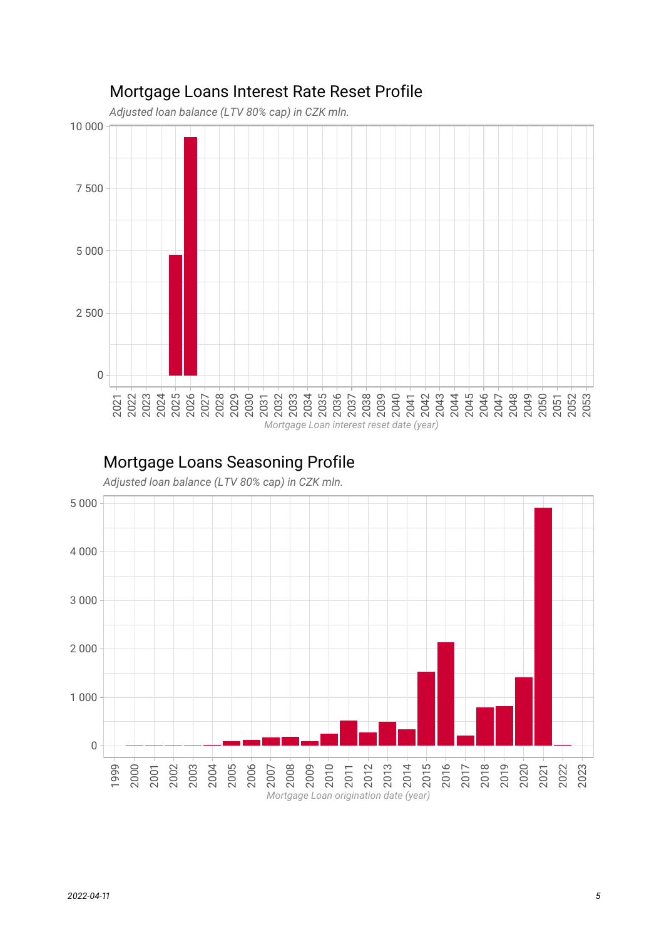

# Mortgage Loans Interest Rate Reset Profile

## Mortgage Loans Seasoning Profile

*Adjusted loan balance (LTV 80% cap) in CZK mln.*

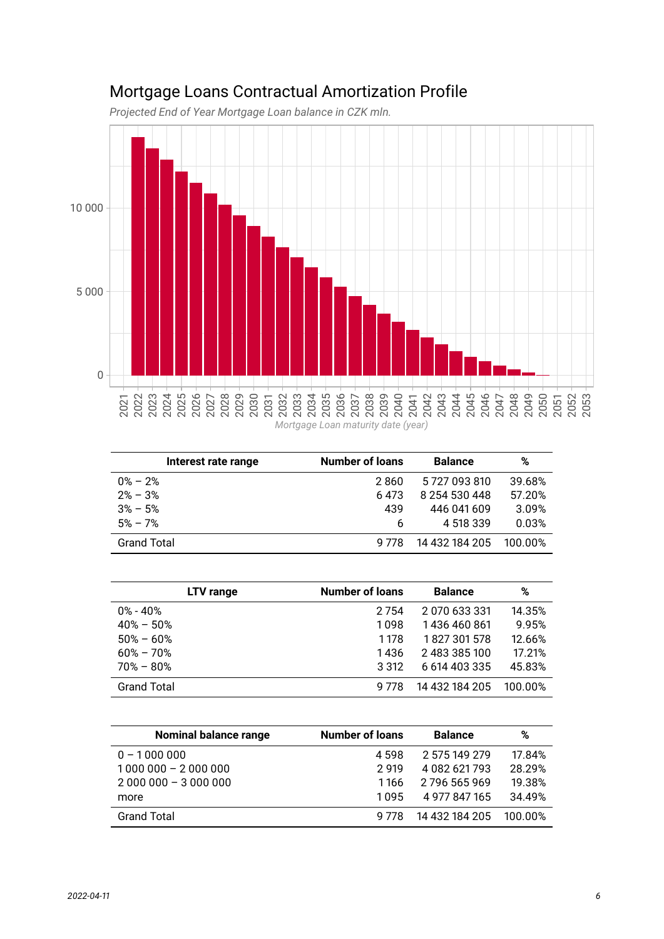# Mortgage Loans Contractual Amortization Profile

*Projected End of Year Mortgage Loan balance in CZK mln.*



| Interest rate range | <b>Number of loans</b> | <b>Balance</b> | %       |
|---------------------|------------------------|----------------|---------|
| $0\% - 2\%$         | 2860                   | 5727093810     | 39.68%  |
| $2\% - 3\%$         | 6 4 7 3                | 8 254 530 448  | 57.20%  |
| $3\% - 5\%$         | 439                    | 446 041 609    | 3.09%   |
| $5\% - 7\%$         | 6                      | 4 518 339      | 0.03%   |
| <b>Grand Total</b>  | 9 778                  | 14 432 184 205 | 100.00% |

| LTV range          | <b>Number of loans</b> | <b>Balance</b> | %       |
|--------------------|------------------------|----------------|---------|
| $0\%$ - $40\%$     | 2 7 5 4                | 2 070 633 331  | 14.35%  |
| $40\% - 50\%$      | 1098                   | 1436460861     | 9.95%   |
| $50\% - 60\%$      | 1178                   | 1827301578     | 12.66%  |
| $60\% - 70\%$      | 1436                   | 2 483 385 100  | 17.21%  |
| $70\% - 80\%$      | 3 3 1 2                | 6 614 403 335  | 45.83%  |
| <b>Grand Total</b> | 9 778                  | 14 432 184 205 | 100.00% |

| <b>Nominal balance range</b> | <b>Number of loans</b> | <b>Balance</b> | %       |
|------------------------------|------------------------|----------------|---------|
| $0 - 1000000$                | 4 598                  | 2 575 149 279  | 17.84%  |
| $1000000 - 2000000$          | 2919                   | 4 082 621 793  | 28.29%  |
| $2000000 - 3000000$          | 1166                   | 2 796 565 969  | 19.38%  |
| more                         | 1 0 9 5                | 4 977 847 165  | 34.49%  |
| <b>Grand Total</b>           | 9 778                  | 14 432 184 205 | 100 00% |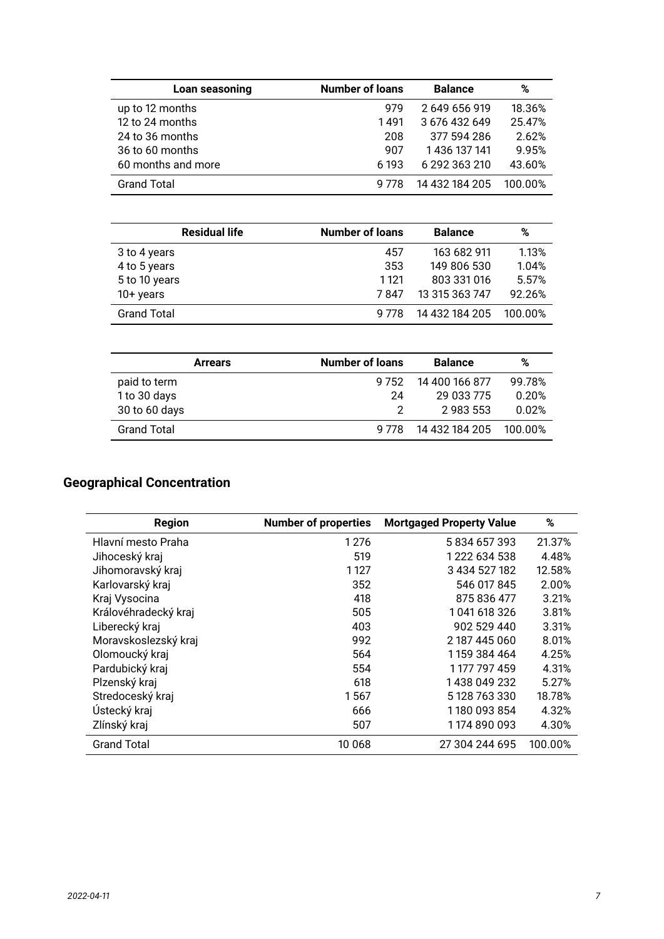| Loan seasoning     | <b>Number of loans</b> | <b>Balance</b> | %       |
|--------------------|------------------------|----------------|---------|
| up to 12 months    | 979                    | 2 649 656 919  | 18.36%  |
| 12 to 24 months    | 1491                   | 3 676 432 649  | 25.47%  |
| 24 to 36 months    | 208                    | 377 594 286    | 2.62%   |
| 36 to 60 months    | 907                    | 1 436 137 141  | 9.95%   |
| 60 months and more | 6 193                  | 6 292 363 210  | 43.60%  |
| <b>Grand Total</b> | 9 778                  | 14 432 184 205 | 100.00% |

| <b>Residual life</b> | <b>Number of loans</b> | <b>Balance</b> | %       |
|----------------------|------------------------|----------------|---------|
| 3 to 4 years         | 457                    | 163 682 911    | 1.13%   |
| 4 to 5 years         | 353                    | 149 806 530    | 1.04%   |
| 5 to 10 years        | 1 1 2 1                | 803 331 016    | 5.57%   |
| $10+$ years          | 7847                   | 13 315 363 747 | 92.26%  |
| <b>Grand Total</b>   | 9 778                  | 14 432 184 205 | 100.00% |

| <b>Arrears</b>     | <b>Number of loans</b> | <b>Balance</b>         | %      |
|--------------------|------------------------|------------------------|--------|
| paid to term       | 9 7 5 2                | 14 400 166 877         | 99.78% |
| 1 to 30 days       | 24                     | 29 033 775             | 0.20%  |
| 30 to 60 days      |                        | 2 983 553              | 0.02%  |
| <b>Grand Total</b> | 9.778                  | 14 432 184 205 100.00% |        |

### **Geographical Concentration**

| <b>Region</b>        | <b>Number of properties</b> | <b>Mortgaged Property Value</b> | %       |
|----------------------|-----------------------------|---------------------------------|---------|
| Hlavní mesto Praha   | 1 2 7 6                     | 5834657393                      | 21.37%  |
| Jihoceský kraj       | 519                         | 1 222 634 538                   | 4.48%   |
| Jihomoravský kraj    | 1 1 2 7                     | 3 434 527 182                   | 12.58%  |
| Karlovarský kraj     | 352                         | 546 017 845                     | 2.00%   |
| Kraj Vysocina        | 418                         | 875 836 477                     | 3.21%   |
| Královéhradecký kraj | 505                         | 1041618326                      | 3.81%   |
| Liberecký kraj       | 403                         | 902 529 440                     | 3.31%   |
| Moravskoslezský kraj | 992                         | 2 187 445 060                   | 8.01%   |
| Olomoucký kraj       | 564                         | 1 159 384 464                   | 4.25%   |
| Pardubický kraj      | 554                         | 1 177 797 459                   | 4.31%   |
| Plzenský kraj        | 618                         | 1 438 049 232                   | 5.27%   |
| Stredoceský kraj     | 1567                        | 5 128 763 330                   | 18.78%  |
| Ústecký kraj         | 666                         | 1180 093 854                    | 4.32%   |
| Zlínský kraj         | 507                         | 1 174 890 093                   | 4.30%   |
| <b>Grand Total</b>   | 10 068                      | 27 304 244 695                  | 100.00% |